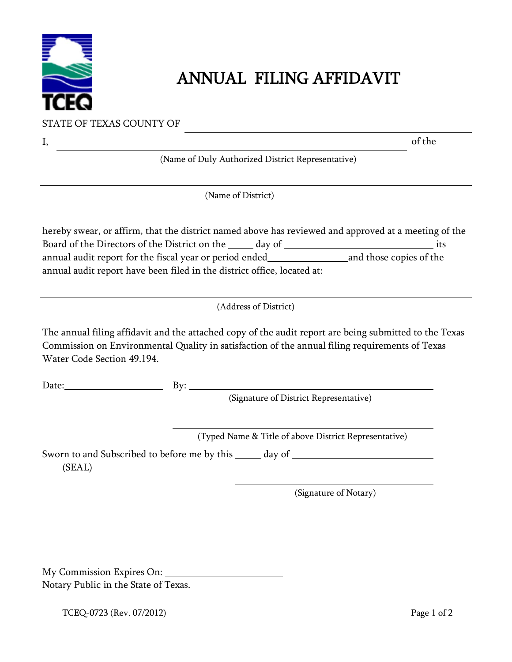

## ANNUAL FILING AFFIDAVIT

STATE OF TEXAS COUNTY OF

| Ι,                         |                                                                                                           | of the |
|----------------------------|-----------------------------------------------------------------------------------------------------------|--------|
|                            | (Name of Duly Authorized District Representative)                                                         |        |
|                            | (Name of District)                                                                                        |        |
|                            | hereby swear, or affirm, that the district named above has reviewed and approved at a meeting of the      |        |
|                            | Board of the Directors of the District on the ______ day of _____________________                         | its    |
|                            | annual audit report for the fiscal year or period ended__________________________ and those copies of the |        |
|                            | annual audit report have been filed in the district office, located at:                                   |        |
|                            | (Address of District)                                                                                     |        |
| Water Code Section 49.194. | Commission on Environmental Quality in satisfaction of the annual filing requirements of Texas            |        |
| Date: <u>Date:</u>         | By: $\qquad \qquad$                                                                                       |        |
|                            | (Signature of District Representative)                                                                    |        |
|                            | (Typed Name & Title of above District Representative)                                                     |        |
| (SEAL)                     | Sworn to and Subscribed to before me by this ______ day of _____________________                          |        |
|                            |                                                                                                           |        |
|                            | (Signature of Notary)                                                                                     |        |
|                            |                                                                                                           |        |
|                            |                                                                                                           |        |
|                            |                                                                                                           |        |

 My Commission Expires On: Notary Public in the State of Texas.

TCEQ-0723 (Rev. 07/2012) Page 1 of 2